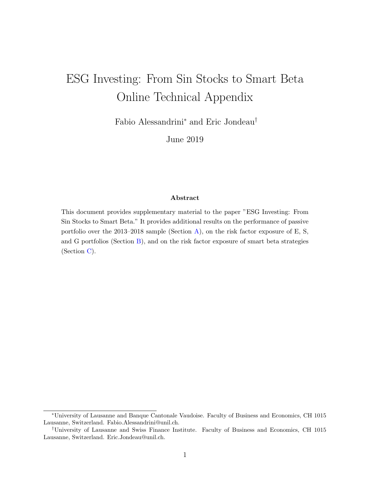# ESG Investing: From Sin Stocks to Smart Beta Online Technical Appendix

Fabio Alessandrini<sup>∗</sup> and Eric Jondeau†

June 2019

#### Abstract

This document provides supplementary material to the paper "ESG Investing: From Sin Stocks to Smart Beta." It provides additional results on the performance of passive portfolio over the 2013–2018 sample (Section [A\)](#page-1-0), on the risk factor exposure of E, S, and G portfolios (Section [B\)](#page-3-0), and on the risk factor exposure of smart beta strategies (Section [C\)](#page-6-0).

<sup>∗</sup>University of Lausanne and Banque Cantonale Vaudoise. Faculty of Business and Economics, CH 1015 Lausanne, Switzerland. Fabio.Alessandrini@unil.ch.

<sup>†</sup>University of Lausanne and Swiss Finance Institute. Faculty of Business and Economics, CH 1015 Lausanne, Switzerland. Eric.Jondeau@unil.ch.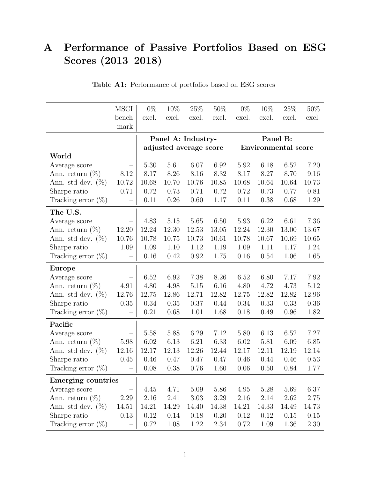## <span id="page-1-0"></span>A Performance of Passive Portfolios Based on ESG Scores (2013–2018)

|                           | <b>MSCI</b> | $0\%$ | 10%                    | 25\%     | 50%   | $0\%$                      | 10\%  | 25\%     | 50%   |  |
|---------------------------|-------------|-------|------------------------|----------|-------|----------------------------|-------|----------|-------|--|
|                           | bench       | excl. | excl.                  | excl.    | excl. | excl.                      | excl. | excl.    | excl. |  |
|                           | mark        |       |                        |          |       |                            |       |          |       |  |
|                           |             |       | Panel A: Industry-     |          |       |                            |       | Panel B: |       |  |
|                           |             |       | adjusted average score |          |       | <b>Environmental score</b> |       |          |       |  |
| World                     |             |       |                        |          |       |                            |       |          |       |  |
| Average score             |             | 5.30  | 5.61                   | 6.07     | 6.92  | 5.92                       | 6.18  | 6.52     | 7.20  |  |
| Ann. return $(\%)$        | 8.12        | 8.17  | 8.26                   | 8.16     | 8.32  | 8.17                       | 8.27  | 8.70     | 9.16  |  |
| Ann. std dev. $(\%)$      | 10.72       | 10.68 | 10.70                  | 10.76    | 10.85 | 10.68                      | 10.64 | 10.64    | 10.73 |  |
| Sharpe ratio              | 0.71        | 0.72  | 0.73                   | 0.71     | 0.72  | 0.72                       | 0.73  | 0.77     | 0.81  |  |
| Tracking error $(\%)$     |             | 0.11  | 0.26                   | 0.60     | 1.17  | 0.11                       | 0.38  | 0.68     | 1.29  |  |
| The U.S.                  |             |       |                        |          |       |                            |       |          |       |  |
| Average score             |             | 4.83  | 5.15                   | 5.65     | 6.50  | 5.93                       | 6.22  | 6.61     | 7.36  |  |
| Ann. return $(\%)$        | 12.20       | 12.24 | 12.30                  | 12.53    | 13.05 | 12.24                      | 12.30 | 13.00    | 13.67 |  |
| Ann. std dev. $(\%)$      | 10.76       | 10.78 | 10.75                  | 10.73    | 10.61 | 10.78                      | 10.67 | 10.69    | 10.65 |  |
| Sharpe ratio              | 1.09        | 1.09  | 1.10                   | 1.12     | 1.19  | 1.09                       | 1.11  | 1.17     | 1.24  |  |
| Tracking error $(\%)$     |             | 0.16  | 0.42                   | 0.92     | 1.75  | 0.16                       | 0.54  | 1.06     | 1.65  |  |
| Europe                    |             |       |                        |          |       |                            |       |          |       |  |
| Average score             |             | 6.52  | 6.92                   | 7.38     | 8.26  | 6.52                       | 6.80  | 7.17     | 7.92  |  |
| Ann. return $(\%)$        | 4.91        | 4.80  | 4.98                   | $5.15\,$ | 6.16  | 4.80                       | 4.72  | 4.73     | 5.12  |  |
| Ann. std dev. $(\%)$      | 12.76       | 12.75 | 12.86                  | 12.71    | 12.82 | 12.75                      | 12.82 | 12.82    | 12.96 |  |
| Sharpe ratio              | 0.35        | 0.34  | 0.35                   | 0.37     | 0.44  | 0.34                       | 0.33  | 0.33     | 0.36  |  |
| Tracking error $(\%)$     |             | 0.21  | 0.68                   | 1.01     | 1.68  | 0.18                       | 0.49  | 0.96     | 1.82  |  |
| Pacific                   |             |       |                        |          |       |                            |       |          |       |  |
| Average score             |             | 5.58  | 5.88                   | 6.29     | 7.12  | 5.80                       | 6.13  | 6.52     | 7.27  |  |
| Ann. return $(\%)$        | 5.98        | 6.02  | 6.13                   | 6.21     | 6.33  | 6.02                       | 5.81  | 6.09     | 6.85  |  |
| Ann. std dev. $(\%)$      | 12.16       | 12.17 | 12.13                  | 12.26    | 12.44 | 12.17                      | 12.11 | 12.19    | 12.14 |  |
| Sharpe ratio              | 0.45        | 0.46  | 0.47                   | 0.47     | 0.47  | 0.46                       | 0.44  | 0.46     | 0.53  |  |
| Tracking error $(\%)$     |             | 0.08  | 0.38                   | 0.76     | 1.60  | 0.06                       | 0.50  | 0.84     | 1.77  |  |
| <b>Emerging countries</b> |             |       |                        |          |       |                            |       |          |       |  |
| Average score             |             | 4.45  | 4.71                   | 5.09     | 5.86  | 4.95                       | 5.28  | 5.69     | 6.37  |  |
| Ann. return $(\%)$        | 2.29        | 2.16  | 2.41                   | 3.03     | 3.29  | 2.16                       | 2.14  | 2.62     | 2.75  |  |
| Ann. std dev. $(\%)$      | 14.51       | 14.21 | 14.29                  | 14.40    | 14.38 | 14.21                      | 14.33 | 14.49    | 14.73 |  |
| Sharpe ratio              | 0.13        | 0.12  | 0.14                   | 0.18     | 0.20  | 0.12                       | 0.12  | 0.15     | 0.15  |  |
| Tracking error $(\%)$     |             | 0.72  | 1.08                   | 1.22     | 2.34  | 0.72                       | 1.09  | 1.36     | 2.30  |  |

### Table A1: Performance of portfolios based on ESG scores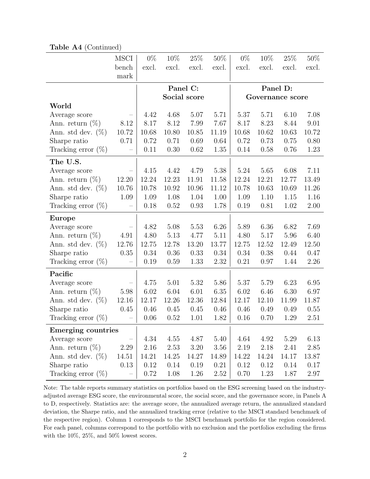|                       | MSCI              | $0\%$    | 10%      | $25\%$       | $50\%$ | $0\%$ | 10%              | 25\%  | $50\%$ |
|-----------------------|-------------------|----------|----------|--------------|--------|-------|------------------|-------|--------|
|                       | bench             | excl.    | excl.    | excl.        | excl.  | excl. | excl.            | excl. | excl.  |
|                       | mark              |          |          |              |        |       |                  |       |        |
|                       |                   |          |          |              |        |       |                  |       |        |
|                       |                   |          | Panel C: |              |        |       | Panel D:         |       |        |
|                       |                   |          |          | Social score |        |       | Governance score |       |        |
| World                 |                   |          |          |              |        |       |                  |       |        |
| Average score         |                   | 4.42     | 4.68     | 5.07         | 5.71   | 5.37  | 5.71             | 6.10  | 7.08   |
| Ann. return $(\%)$    | 8.12              | 8.17     | 8.12     | 7.99         | 7.67   | 8.17  | 8.23             | 8.44  | 9.01   |
| Ann. std dev. $(\%)$  | 10.72             | 10.68    | 10.80    | 10.85        | 11.19  | 10.68 | 10.62            | 10.63 | 10.72  |
| Sharpe ratio          | 0.71              | 0.72     | 0.71     | 0.69         | 0.64   | 0.72  | 0.73             | 0.75  | 0.80   |
| Tracking error $(\%)$ | $\qquad \qquad -$ | 0.11     | 0.30     | 0.62         | 1.35   | 0.14  | 0.58             | 0.76  | 1.23   |
| The U.S.              |                   |          |          |              |        |       |                  |       |        |
| Average score         |                   | 4.15     | 4.42     | 4.79         | 5.38   | 5.24  | 5.65             | 6.08  | 7.11   |
| Ann. return $(\%)$    | 12.20             | 12.24    | 12.23    | 11.91        | 11.58  | 12.24 | 12.21            | 12.77 | 13.49  |
| Ann. std dev. $(\%)$  | 10.76             | 10.78    | 10.92    | 10.96        | 11.12  | 10.78 | 10.63            | 10.69 | 11.26  |
| Sharpe ratio          | 1.09              | 1.09     | 1.08     | 1.04         | 1.00   | 1.09  | 1.10             | 1.15  | 1.16   |
| Tracking error $(\%)$ |                   | 0.18     | 0.52     | 0.93         | 1.78   | 0.19  | 0.81             | 1.02  | 2.00   |
| <b>Europe</b>         |                   |          |          |              |        |       |                  |       |        |
| Average score         |                   | 4.82     | 5.08     | 5.53         | 6.26   | 5.89  | 6.36             | 6.82  | 7.69   |
| Ann. return $(\%)$    | 4.91              | 4.80     | 5.13     | 4.77         | 5.11   | 4.80  | 5.17             | 5.96  | 6.40   |
| Ann. std dev. $(\%)$  | 12.76             | 12.75    | 12.78    | 13.20        | 13.77  | 12.75 | 12.52            | 12.49 | 12.50  |
| Sharpe ratio          | 0.35              | 0.34     | 0.36     | 0.33         | 0.34   | 0.34  | 0.38             | 0.44  | 0.47   |
| Tracking error $(\%)$ |                   | 0.19     | 0.59     | 1.33         | 2.32   | 0.21  | 0.97             | 1.44  | 2.26   |
|                       |                   |          |          |              |        |       |                  |       |        |
| Pacific               |                   |          |          |              |        |       |                  |       |        |
| Average score         |                   | 4.75     | 5.01     | 5.32         | 5.86   | 5.37  | 5.79             | 6.23  | 6.95   |
| Ann. return $(\%)$    | 5.98              | 6.02     | 6.04     | 6.01         | 6.35   | 6.02  | 6.46             | 6.30  | 6.97   |
| Ann. std dev. $(\%)$  | 12.16             | 12.17    | 12.26    | 12.36        | 12.84  | 12.17 | 12.10            | 11.99 | 11.87  |
| Sharpe ratio          | 0.45              | 0.46     | 0.45     | 0.45         | 0.46   | 0.46  | 0.49             | 0.49  | 0.55   |
| Tracking error $(\%)$ | -                 | 0.06     | 0.52     | 1.01         | 1.82   | 0.16  | 0.70             | 1.29  | 2.51   |
| Emerging countries    |                   |          |          |              |        |       |                  |       |        |
| Average score         |                   | 4.34     | 4.55     | 4.87         | 5.40   | 4.64  | 4.92             | 5.29  | 6.13   |
| Ann. return $(\%)$    | 2.29              | 2.16     | 2.53     | 3.20         | 3.56   | 2.19  | 2.18             | 2.41  | 2.85   |
| Ann. std dev. $(\%)$  | 14.51             | 14.21    | 14.25    | 14.27        | 14.89  | 14.22 | 14.24            | 14.17 | 13.87  |
| Sharpe ratio          | 0.13              | 0.12     | 0.14     | 0.19         | 0.21   | 0.12  | 0.12             | 0.14  | 0.17   |
| Tracking error $(\%)$ |                   | $0.72\,$ | 1.08     | 1.26         | 2.52   | 0.70  | 1.23             | 1.87  | 2.97   |

Table A4 (Continued)

Note: The table reports summary statistics on portfolios based on the ESG screening based on the industryadjusted average ESG score, the environmental score, the social score, and the governance score, in Panels A to D, respectively. Statistics are: the average score, the annualized average return, the annualized standard deviation, the Sharpe ratio, and the annualized tracking error (relative to the MSCI standard benchmark of the respective region). Column 1 corresponds to the MSCI benchmark portfolio for the region considered. For each panel, columns correspond to the portfolio with no exclusion and the portfolios excluding the firms with the 10%, 25%, and 50% lowest scores.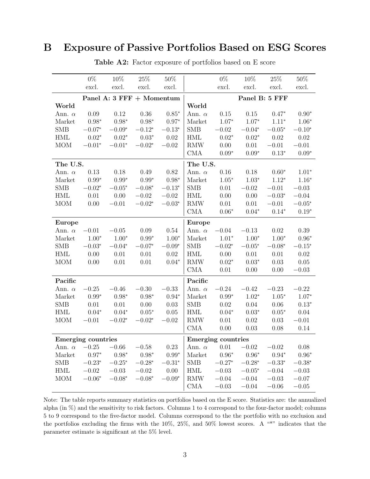### <span id="page-3-0"></span>B Exposure of Passive Portfolios Based on ESG Scores

|                      | $0\%$                     | 10%      | 25\%                      | 50%      |                             | $0\%$                     | 10%            | 25\%           | $50\%$   |
|----------------------|---------------------------|----------|---------------------------|----------|-----------------------------|---------------------------|----------------|----------------|----------|
|                      | excl.                     | excl.    | excl.                     | excl.    |                             | excl.                     | excl.          | excl.          | excl.    |
|                      |                           |          | Panel A: 3 FFF + Momentum |          |                             |                           |                | Panel B: 5 FFF |          |
| World                |                           |          |                           |          | World                       |                           |                |                |          |
| Ann. $\alpha$        | 0.09                      | 0.12     | 0.36                      | $0.85*$  | Ann. $\alpha$               | 0.15                      | 0.15           | $0.47*$        | $0.90*$  |
| Market               | $0.98*$                   | $0.98*$  | $0.98*$                   | $0.97*$  | Market                      | $1.07*$                   | $1.07*$        | $1.11*$        | $1.06*$  |
| <b>SMB</b>           | $-0.07*$                  | $-0.09*$ | $-0.12*$                  | $-0.13*$ | <b>SMB</b>                  | $-0.02$                   | $-0.04*$       | $-0.05*$       | $-0.10*$ |
| <b>HML</b>           | $0.02*$                   | $0.02*$  | $0.03*$                   | $0.02\,$ | <b>HML</b>                  | $0.02*$                   | $0.02*$        | $0.02\,$       | $0.02\,$ |
| <b>MOM</b>           | $-0.01*$                  | $-0.01*$ | $-0.02*$                  | $-0.02$  | $\mathop{\rm RMW}\nolimits$ | 0.00                      | 0.01           | $-0.01$        | $-0.01$  |
|                      |                           |          |                           |          | <b>CMA</b>                  | $0.09*$                   | $0.09*$        | $0.13*$        | $0.09*$  |
| The U.S.             |                           |          |                           |          | The U.S.                    |                           |                |                |          |
| Ann. $\alpha$        | 0.13                      | 0.18     | 0.49                      | 0.82     | Ann. $\alpha$               | 0.16                      | 0.18           | $0.60*$        | $1.01*$  |
| Market               | $0.99*$                   | $0.99*$  | $0.99*$                   | $0.98*$  | Market                      | $1.05*$                   | $1.03*$        | $1.12*$        | $1.16*$  |
| <b>SMB</b>           | $-0.02*$                  | $-0.05*$ | $-0.08*$                  | $-0.13*$ | <b>SMB</b>                  | 0.01                      | $-0.02$        | $-0.01$        | $-0.03$  |
| <b>HML</b>           | $0.01\,$                  | 0.00     | $-0.02$                   | $-0.02$  | <b>HML</b>                  | 0.00                      | 0.00           | $-0.03*$       | $-0.04$  |
| <b>MOM</b>           | $0.00\,$                  | $-0.01$  | $-0.02*$                  | $-0.03*$ | $\mathop{\rm RMW}\nolimits$ | $0.01\,$                  | 0.01           | $-0.01$        | $-0.05*$ |
|                      |                           |          |                           |          | <b>CMA</b>                  | $0.06*$                   | $0.04*$        | $0.14*$        | $0.19*$  |
| Europe               |                           |          |                           |          | <b>Europe</b>               |                           |                |                |          |
| Ann. $\alpha$        | $-0.01$                   | $-0.05$  | 0.09                      | 0.54     | Ann. $\alpha$               | $-0.04$                   | $-0.13$        | 0.02           | 0.39     |
| Market               | $1.00*$                   | $1.00*$  | $0.99*$                   | $1.00*$  | Market                      | $1.01*$                   | $1.00*$        | $1.00*$        | $0.96*$  |
| <b>SMB</b>           | $-0.03*$                  | $-0.04*$ | $-0.07*$                  | $-0.09*$ | <b>SMB</b>                  | $-0.02*$                  | $-0.05^{\ast}$ | $-0.08*$       | $-0.15*$ |
| <b>HML</b>           | 0.00                      | 0.01     | 0.01                      | 0.02     | <b>HML</b>                  | 0.00                      | $0.01\,$       | 0.01           | 0.02     |
| <b>MOM</b>           | 0.00                      | 0.01     | 0.01                      | $0.04*$  | <b>RMW</b>                  | $0.02*$                   | $0.03*$        | 0.03           | 0.05     |
|                      |                           |          |                           |          | <b>CMA</b>                  | 0.01                      | 0.00           | 0.00           | $-0.03$  |
| Pacific              |                           |          |                           |          | Pacific                     |                           |                |                |          |
| Ann. $\alpha$        | $-0.25$                   | $-0.46$  | $-0.30$                   | $-0.33$  | Ann. $\alpha$               | $-0.24$                   | $-0.42$        | $-0.23$        | $-0.22$  |
| Market               | $0.99*$                   | $0.98*$  | $0.98*$                   | $0.94*$  | Market                      | $0.99*$                   | $1.02*$        | $1.05*$        | $1.07*$  |
| <b>SMB</b>           | 0.01                      | 0.01     | 0.00                      | 0.03     | <b>SMB</b>                  | 0.02                      | 0.04           | 0.06           | $0.13*$  |
| $\operatorname{HML}$ | $0.04*$                   | $0.04*$  | $0.05*$                   | $0.05\,$ | <b>HML</b>                  | $0.04*$                   | $0.03*$        | $0.05*$        | $0.04\,$ |
| <b>MOM</b>           | $-0.01$                   | $-0.02*$ | $-0.02*$                  | $-0.02$  | <b>RMW</b>                  | 0.01                      | $0.02\,$       | 0.03           | $-0.01$  |
|                      |                           |          |                           |          | <b>CMA</b>                  | 0.00                      | 0.03           | 0.08           | 0.14     |
|                      | <b>Emerging countries</b> |          |                           |          |                             | <b>Emerging countries</b> |                |                |          |
| Ann. $\alpha$        | $-0.25$                   | $-0.66$  | $-0.58$                   | 0.23     | Ann. $\alpha$               | 0.01                      | $-0.02$        | $-0.02$        | 0.08     |
| Market               | $0.97^{\ast}$             | $0.98*$  | $0.98*$                   | $0.99*$  | Market                      | $0.96*$                   | $0.96*$        | $0.94*$        | $0.96*$  |
| SMB                  | $-0.23*$                  | $-0.25*$ | $-0.28*$                  | $-0.31*$ | SMB                         | $-0.27*$                  | $-0.28*$       | $-0.33*$       | $-0.38*$ |
| HML                  | $-0.02$                   | $-0.03$  | $-0.02$                   | 0.00     | HML                         | $-0.03$                   | $-0.05*$       | $-0.04$        | $-0.03$  |
| <b>MOM</b>           | $-0.06*$                  | $-0.08*$ | $-0.08*$                  | $-0.09*$ | <b>RMW</b>                  | $-0.04$                   | $-0.04$        | $-0.03$        | $-0.07$  |
|                      |                           |          |                           |          | <b>CMA</b>                  | $-0.03$                   | $-0.04$        | $-0.06$        | $-0.05$  |

Table A2: Factor exposure of portfolios based on E score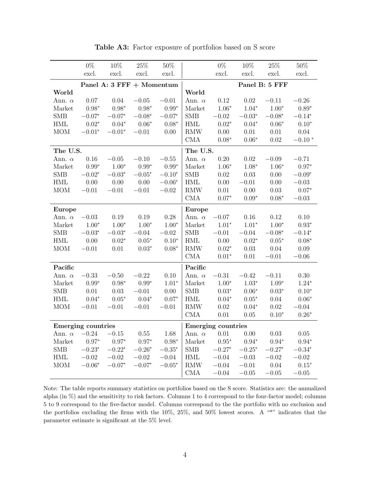|                      | $0\%$                     | 10%            | $25\%$                    | $50\%$         |                             | $0\%$                     | $10\%$         | $25\%$         | $50\%$         |
|----------------------|---------------------------|----------------|---------------------------|----------------|-----------------------------|---------------------------|----------------|----------------|----------------|
|                      | excl.                     | excl.          | excl.                     | excl.          |                             | excl.                     | excl.          | excl.          | excl.          |
|                      |                           |                | Panel A: 3 FFF + Momentum |                |                             |                           |                | Panel B: 5 FFF |                |
| World                |                           |                |                           |                | World                       |                           |                |                |                |
| Ann. $\alpha$        | $0.07\,$                  | $0.04\,$       | $-0.05$                   | $-0.01$        | Ann. $\alpha$               | 0.12                      | $0.02\,$       | $-0.11$        | $-0.26$        |
| Market               | $0.98*$                   | $0.98*$        | $0.98*$                   | $0.99*$        | Market                      | $1.06*$                   | $1.04*$        | $1.00*$        | $0.89*$        |
| <b>SMB</b>           | $-0.07^{\ast}$            | $-0.07^{\ast}$ | $-0.08^{\ast}$            | $-0.07*$       | <b>SMB</b>                  | $-0.02\,$                 | $-0.03^{\ast}$ | $-0.08^{\ast}$ | $-0.14*$       |
| $\operatorname{HML}$ | $0.02*$                   | $0.04*$        | $0.06*$                   | $0.08*$        | $\operatorname{HML}$        | $0.02*$                   | $0.04*$        | $0.06*$        | $0.10*$        |
| <b>MOM</b>           | $-0.01*$                  | $-0.01*$       | $-0.01\,$                 | 0.00           | $\mathop{\rm RMW}\nolimits$ | $0.00\,$                  | $0.01\,$       | 0.01           | $0.04\,$       |
|                      |                           |                |                           |                | CMA                         | $0.08*$                   | $0.06*$        | $0.02\,$       | $-0.10*$       |
| The U.S.             |                           |                |                           |                | The U.S.                    |                           |                |                |                |
| Ann. $\alpha$        | $0.16\,$                  | $-0.05$        | $-0.10$                   | $-0.55$        | Ann. $\alpha$               | 0.20                      | 0.02           | $-0.09$        | $-0.71$        |
| Market               | $0.99*$                   | $1.00*$        | $0.99^{\ast}$             | $0.99*$        | Market                      | $1.06*$                   | $1.08*$        | $1.06*$        | $0.97*$        |
| ${\rm SMB}$          | $-0.02^{\ast}$            | $-0.03^{\ast}$ | $-0.05^{\ast}$            | $-0.10*$       | <b>SMB</b>                  | $0.02\,$                  | 0.03           | $0.00\,$       | $-0.09^{\ast}$ |
| $\operatorname{HML}$ | 0.00                      | $0.00\,$       | $0.00\,$                  | $-0.06*$       | HML                         | 0.00                      | $-0.01\,$      | $0.00\,$       | $-0.03$        |
| <b>MOM</b>           | $-0.01$                   | $-0.01$        | $-0.01$                   | $-0.02$        | RMW                         | $0.01\,$                  | 0.00           | 0.03           | $0.07*$        |
|                      |                           |                |                           |                | CMA                         | $0.07*$                   | $0.09*$        | $0.08*$        | $-0.03$        |
| Europe               |                           |                |                           |                | <b>Europe</b>               |                           |                |                |                |
| Ann. $\alpha$        | $-0.03$                   | 0.19           | $0.19\,$                  | $0.28\,$       | Ann. $\alpha$               | $-0.07$                   | $0.16\,$       | 0.12           | $0.10\,$       |
| Market               | $1.00^{\ast}$             | $1.00*$        | $1.00*$                   | $1.00*$        | Market                      | $1.01*$                   | $1.01^{\ast}$  | $1.00*$        | $0.93*$        |
| ${\rm SMB}$          | $-0.03*$                  | $-0.03^{\ast}$ | $-0.04$                   | $-0.02$        | SMB                         | $-0.01$                   | $-0.04$        | $-0.08*$       | $-0.14*$       |
| $\operatorname{HML}$ | 0.00                      | $0.02^\ast$    | $0.05*$                   | $0.10*$        | $\operatorname{HML}$        | $0.00\,$                  | $0.02^{\ast}$  | $0.05^{\ast}$  | $0.08*$        |
| <b>MOM</b>           | $-0.01$                   | $0.01\,$       | $0.03*$                   | $0.08*$        | $\mathop{\rm RMW}\nolimits$ | $0.02*$                   | 0.03           | $0.04\,$       | $0.09\,$       |
|                      |                           |                |                           |                | CMA                         | $0.01*$                   | $0.01\,$       | $-0.01$        | $-0.06$        |
| Pacific              |                           |                |                           |                | Pacific                     |                           |                |                |                |
| Ann. $\alpha$        | $-0.33$                   | $-0.50$        | $-0.22$                   | $0.10\,$       | Ann. $\alpha$               | $-0.31\,$                 | $-0.42$        | $-0.11$        | 0.30           |
| Market               | $0.99*$                   | $0.98*$        | $0.99*$                   | $1.01*$        | Market                      | $1.00*$                   | $1.03*$        | $1.09*$        | $1.24*$        |
| <b>SMB</b>           | $0.01\,$                  | 0.03           | $-0.01$                   | $0.00\,$       | SMB                         | $0.03*$                   | $0.06*$        | $0.03^{\ast}$  | $0.10*$        |
| $\operatorname{HML}$ | $0.04^{\ast}$             | $0.05*$        | $0.04*$                   | $0.07*$        | <b>HML</b>                  | $0.04*$                   | $0.05*$        | $0.04\,$       | $0.06*$        |
| <b>MOM</b>           | $-0.01$                   | $-0.01$        | $-0.01$                   | $-0.01$        | RMW                         | $0.02\,$                  | $0.04*$        | $0.02\,$       | $-0.04$        |
|                      |                           |                |                           |                | CMA                         | $0.01\,$                  | 0.05           | $0.10*$        | $0.26*$        |
|                      | <b>Emerging countries</b> |                |                           |                |                             | <b>Emerging countries</b> |                |                |                |
| Ann. $\alpha$        | $-0.24$                   | $-0.15$        | $0.55\,$                  | 1.68           | Ann. $\alpha$               | $0.01\,$                  | 0.00           | 0.03           | $0.05\,$       |
| Market               | $0.97*$                   | $0.97*$        | $0.97*$                   | $0.98*$        | Market                      | $0.95^{\ast}$             | $0.94*$        | $0.94^{\ast}$  | $0.94*$        |
| SMB                  | $-0.23^{\ast}$            | $-0.22^\ast$   | $-0.26^{\ast}$            | $-0.35^{\ast}$ | <b>SMB</b>                  | $-0.27^{\ast}$            | $-0.25^{\ast}$ | $-0.27*$       | $-0.34^{\ast}$ |
| $\operatorname{HML}$ | $-0.02$                   | $-0.02\,$      | $-0.02$                   | $-0.04$        | $\operatorname{HML}$        | $-0.04$                   | $-0.03\,$      | $-0.02\,$      | $-0.02$        |
| <b>MOM</b>           | $-0.06*$                  | $-0.07*$       | $-0.07*$                  | $-0.05*$       | RMW                         | $-0.04$                   | $-0.01$        | $0.04\,$       | $0.15*$        |
|                      |                           |                |                           |                | $\rm CMA$                   | $-0.04$                   | $-0.05$        | $-0.05\,$      | $-0.05$        |

Table A3: Factor exposure of portfolios based on S score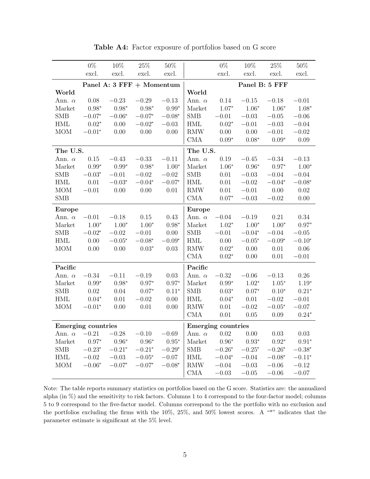|                      | $0\%$                     | $10\%$         | $25\%$                    | $50\%$         |                             | $0\%$                     | $10\%$    | $25\%$         | $50\%$         |  |  |
|----------------------|---------------------------|----------------|---------------------------|----------------|-----------------------------|---------------------------|-----------|----------------|----------------|--|--|
|                      | excl.                     | excl.          | excl.                     | excl.          |                             | excl.                     | excl.     | excl.          | excl.          |  |  |
|                      |                           |                | Panel A: 3 FFF + Momentum |                |                             | Panel B: 5 FFF            |           |                |                |  |  |
| World                |                           |                |                           |                | World                       |                           |           |                |                |  |  |
| Ann. $\alpha$        | 0.08                      | $-0.23$        | $-0.29$                   | $-0.13$        | Ann. $\alpha$               | $0.14\,$                  | $-0.15$   | $-0.18$        | $-0.01$        |  |  |
| Market               | $0.98*$                   | $0.98*$        | $0.98*$                   | $0.99*$        | Market                      | $1.07*$                   | $1.06*$   | $1.06*$        | $1.08*$        |  |  |
| <b>SMB</b>           | $-0.07^{\ast}$            | $-0.06*$       | $-0.07*$                  | $-0.08*$       | <b>SMB</b>                  | $-0.01$                   | $-0.03$   | $\!-0.05$      | $-0.06$        |  |  |
| $\operatorname{HML}$ | $0.02^\ast$               | 0.00           | $-0.02*$                  | $-0.03$        | $\operatorname{HML}$        | $0.02*$                   | $-0.01$   | $-0.03$        | $-0.04$        |  |  |
| <b>MOM</b>           | $-0.01*$                  | $0.00\,$       | 0.00                      | 0.00           | $\mathop{\rm RMW}\nolimits$ | $0.00\,$                  | $0.00\,$  | $-0.01$        | $-0.02$        |  |  |
|                      |                           |                |                           |                | CMA                         | $0.09*$                   | $0.08*$   | $0.09*$        | 0.09           |  |  |
| The U.S.             |                           |                |                           |                | The U.S.                    |                           |           |                |                |  |  |
| Ann. $\alpha$        | $0.15\,$                  | $-0.43$        | $-0.33$                   | $-0.11$        | Ann. $\alpha$               | $0.19\,$                  | $-0.45$   | $-0.34$        | $-0.13$        |  |  |
| Market               | $0.99*$                   | $0.99^{\ast}$  | $0.98^{\ast}$             | $1.00*$        | Market                      | $1.06*$                   | $0.96*$   | $0.97*$        | $1.00*$        |  |  |
| <b>SMB</b>           | $-0.03^{\ast}$            | $-0.01$        | $-0.02$                   | $-0.02$        | <b>SMB</b>                  | $0.01\,$                  | $-0.03$   | $-0.04$        | $-0.04$        |  |  |
| $\operatorname{HML}$ | $0.01\,$                  | $-0.03*$       | $-0.04^{\ast}$            | $-0.07*$       | $\operatorname{HML}$        | $0.01\,$                  | $-0.02$   | $-0.04*$       | $-0.08*$       |  |  |
| <b>MOM</b>           | $-0.01$                   | 0.00           | 0.00                      | 0.01           | <b>RMW</b>                  | $0.01\,$                  | $-0.01$   | 0.00           | $0.02\,$       |  |  |
| SMB                  |                           |                |                           |                | CMA                         | $0.07*$                   | $-0.03$   | $-0.02$        | 0.00           |  |  |
| Europe               |                           |                |                           |                | Europe                      |                           |           |                |                |  |  |
| Ann. $\alpha$        | $-0.01$                   | $-0.18$        | $0.15\,$                  | 0.43           | Ann. $\alpha$               | $-0.04$                   | $-0.19$   | $0.21\,$       | $0.34\,$       |  |  |
| Market               | $1.00*$                   | $1.00*$        | $1.00^{\ast}$             | $0.98^{\ast}$  | Market                      | $1.02^{\ast}$             | $1.00*$   | $1.00*$        | $0.97*$        |  |  |
| <b>SMB</b>           | $-0.02*$                  | $-0.02$        | $-0.01$                   | $0.00\,$       | SMB                         | $-0.01$                   | $-0.04*$  | $-0.04$        | $-0.05$        |  |  |
| $\operatorname{HML}$ | 0.00                      | $-0.05^{\ast}$ | $-0.08*$                  | $-0.09*$       | $\operatorname{HML}$        | $0.00\,$                  | $-0.05*$  | $-0.09*$       | $-0.10*$       |  |  |
| MOM                  | 0.00                      | $0.00\,$       | $0.03^{\ast}$             | 0.03           | RMW                         | $0.02*$                   | $0.00\,$  | $0.01\,$       | $0.06\,$       |  |  |
|                      |                           |                |                           |                | CMA                         | $0.02*$                   | $0.00\,$  | $0.01\,$       | $-0.01$        |  |  |
| Pacific              |                           |                |                           |                | Pacific                     |                           |           |                |                |  |  |
| Ann. $\alpha$        | $-0.34\,$                 | $-0.11$        | $-0.19$                   | 0.03           | Ann. $\alpha$               | $-0.32$                   | $-0.06\,$ | $-0.13$        | $0.26\,$       |  |  |
| Market               | $0.99*$                   | $0.98*$        | $0.97*$                   | $0.97*$        | Market                      | $0.99*$                   | $1.02*$   | $1.05*$        | $1.19*$        |  |  |
| <b>SMB</b>           | $0.02\,$                  | $0.04\,$       | $0.07*$                   | $0.11*$        | <b>SMB</b>                  | $0.03^{\ast}$             | $0.07*$   | $0.10*$        | $0.21*$        |  |  |
| $\operatorname{HML}$ | $0.04*$                   | $0.01\,$       | $-0.02$                   | $0.00\,$       | <b>HML</b>                  | $0.04*$                   | 0.01      | $-0.02$        | $-0.01$        |  |  |
| <b>MOM</b>           | $-0.01*$                  | 0.00           | 0.01                      | 0.00           | RMW                         | $0.01\,$                  | $-0.02$   | $-0.05^{\ast}$ | $-0.07$        |  |  |
|                      |                           |                |                           |                | CMA                         | $0.01\,$                  | 0.05      | 0.09           | $0.24*$        |  |  |
|                      | <b>Emerging countries</b> |                |                           |                |                             | <b>Emerging countries</b> |           |                |                |  |  |
| Ann. $\alpha$        | $-0.21$                   | $-0.28$        | $-0.10$                   | $-0.69$        | Ann. $\alpha$               | $0.02\,$                  | 0.00      | $0.03\,$       | 0.03           |  |  |
| Market               | $0.97*$                   | $0.96*$        | $0.96^{\ast}$             | $0.95*$        | Market                      | $0.96*$                   | $0.93*$   | $0.92*$        | $0.91*$        |  |  |
| <b>SMB</b>           | $-0.23^{\ast}$            | $-0.21^{\ast}$ | $-0.21*$                  | $-0.29^{\ast}$ | <b>SMB</b>                  | $-0.26^{\ast}$            | $-0.25*$  | $-0.26^{\ast}$ | $-0.38^{\ast}$ |  |  |
| $\operatorname{HML}$ | $-0.02$                   | $-0.03$        | $-0.05^{\ast}$            | $-0.07$        | HML                         | $-0.04^{\ast}$            | $-0.04\,$ | $-0.08^{\ast}$ | $-0.11^{\ast}$ |  |  |
| <b>MOM</b>           | $-0.06*$                  | $-0.07*$       | $-0.07*$                  | $-0.08*$       | RMW                         | $-0.04$                   | $-0.03$   | $-0.06$        | $-0.12$        |  |  |
|                      |                           |                |                           |                | CMA                         | $-0.03$                   | $-0.05\,$ | $-0.06$        | $-0.07$        |  |  |

Table A4: Factor exposure of portfolios based on G score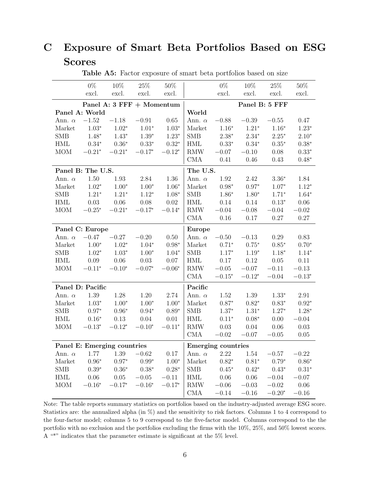### <span id="page-6-0"></span>C Exposure of Smart Beta Portfolios Based on ESG Scores

|                      | $0\%$             | $10\%$                      | $25\%$                    | $50\%$         |                      | $0\%$                     | $10\%$        | $25\%$        | $50\%$        |  |
|----------------------|-------------------|-----------------------------|---------------------------|----------------|----------------------|---------------------------|---------------|---------------|---------------|--|
|                      | excl.             | excl.                       | excl.                     | excl.          |                      | excl.                     | excl.         | excl.         | excl.         |  |
|                      |                   |                             | Panel A: 3 FFF + Momentum |                | Panel B: 5 FFF       |                           |               |               |               |  |
|                      | Panel A: World    |                             |                           |                | World                |                           |               |               |               |  |
| Ann. $\alpha$        | $-1.52$           | $-1.18$                     | $-0.91$                   | $0.65\,$       | Ann. $\alpha$        | $-0.88$                   | $-0.39$       | $-0.55$       | 0.47          |  |
| Market               | $1.03*$           | $1.02^{\ast}$               | $1.01*$                   | $1.03*$        | Market               | $1.16*$                   | $1.21*$       | $1.16^{\ast}$ | $1.23*$       |  |
| <b>SMB</b>           | $1.48*$           | $1.43*$                     | $1.39*$                   | $1.23*$        | <b>SMB</b>           | $2.38^{\ast}$             | $2.34*$       | $2.25*$       | $2.10*$       |  |
| <b>HML</b>           | $0.34^{\ast}$     | $0.36^{\ast}$               | $0.33^{\ast}$             | $0.32*$        | <b>HML</b>           | $0.33*$                   | $0.34^{\ast}$ | $0.35^{\ast}$ | $0.38*$       |  |
| <b>MOM</b>           | $-0.21*$          | $-0.21*$                    | $-0.17*$                  | $-0.12*$       | RMW                  | $-0.07\,$                 | $-0.10$       | $0.08\,$      | $0.33*$       |  |
|                      |                   |                             |                           |                | CMA                  | 0.41                      | $0.46\,$      | 0.43          | $0.48*$       |  |
|                      | Panel B: The U.S. |                             |                           |                | The U.S.             |                           |               |               |               |  |
| Ann. $\alpha$        | $1.50\,$          | 1.93                        | 2.84                      | 1.36           | Ann. $\alpha$        | 1.92                      | 2.42          | $3.36*$       | 1.84          |  |
| Market               | $1.02^{\ast}$     | $1.00^\ast$                 | $1.00*$                   | $1.06*$        | Market               | $0.98^{\ast}$             | $0.97*$       | $1.07*$       | $1.12*$       |  |
| <b>SMB</b>           | $1.21^{\ast}$     | $1.21^{\ast}$               | $1.12^{\ast}$             | $1.08*$        | SMB                  | $1.86*$                   | $1.80*$       | $1.71^{\ast}$ | $1.64*$       |  |
| $\operatorname{HML}$ | $0.03\,$          | $0.06\,$                    | 0.08                      | $0.02\,$       | $\operatorname{HML}$ | $0.14\,$                  | $0.14\,$      | $0.13*$       | $0.06\,$      |  |
| <b>MOM</b>           | $-0.25*$          | $-0.21*$                    | $-0.17*$                  | $-0.14^{\ast}$ | RMW                  | $-0.04$                   | $-0.08$       | $-0.04$       | $-0.02$       |  |
|                      |                   |                             |                           |                | CMA                  | 0.16                      | 0.17          | $0.27\,$      | 0.27          |  |
|                      | Panel C: Europe   |                             |                           |                | Europe               |                           |               |               |               |  |
| Ann. $\alpha$        | $-0.47$           | $-0.27\,$                   | $-0.20$                   | $0.50\,$       | Ann. $\alpha$        | $-0.50\,$                 | $-0.13$       | 0.29          | 0.83          |  |
| Market               | $1.00*$           | $1.02^{\ast}$               | $1.04*$                   | $0.98*$        | Market               | $0.71*$                   | $0.75*$       | $0.85^{\ast}$ | $0.70^{\ast}$ |  |
| <b>SMB</b>           | $1.02^{\ast}$     | $1.03^{\ast}$               | $1.00^{\ast}$             | $1.04*$        | SMB                  | $1.17^{\ast}$             | $1.19^{\ast}$ | $1.18*$       | $1.14^{\ast}$ |  |
| $\operatorname{HML}$ | $0.09\,$          | $0.06\,$                    | $0.03\,$                  | 0.07           | $\operatorname{HML}$ | $0.17\,$                  | $0.12\,$      | $0.05\,$      | $0.11\,$      |  |
| <b>MOM</b>           | $-0.11*$          | $-0.10*$                    | $-0.07*$                  | $-0.06*$       | RMW                  | $-0.05$                   | $-0.07$       | $-0.11\,$     | $-0.13$       |  |
|                      |                   |                             |                           |                | CMA                  | $-0.15*$                  | $-0.12*$      | $-0.04$       | $-0.13*$      |  |
|                      | Panel D: Pacific  |                             |                           |                | Pacific              |                           |               |               |               |  |
| Ann. $\alpha$        | 1.39              | $1.28\,$                    | 1.20                      | 2.74           | Ann. $\alpha$        | $1.52\,$                  | 1.39          | $1.33*$       | 2.91          |  |
| Market               | $1.03^{\ast}$     | $1.00*$                     | $1.00*$                   | $1.00*$        | Market               | $0.87*$                   | $0.82*$       | $0.83*$       | $0.92^\ast$   |  |
| <b>SMB</b>           | $0.97*$           | $0.96*$                     | $0.94*$                   | $0.89*$        | <b>SMB</b>           | $1.37*$                   | $1.31*$       | $1.27*$       | $1.28*$       |  |
| HML                  | $0.16^{\ast}$     | $0.13\,$                    | $0.04\,$                  | $0.01\,$       | $\operatorname{HML}$ | $0.11*$                   | $0.08*$       | $0.00\,$      | $-0.04$       |  |
| <b>MOM</b>           | $-0.13*$          | $-0.12^{\ast}$              | $-0.10*$                  | $-0.11*$       | RMW                  | 0.03                      | $0.04\,$      | 0.06          | $0.03\,$      |  |
|                      |                   |                             |                           |                | CMA                  | $-0.02$                   | $-0.07$       | $-0.05$       | 0.05          |  |
|                      |                   | Panel E: Emerging countries |                           |                |                      | <b>Emerging countries</b> |               |               |               |  |
| Ann. $\alpha$        | 1.77              | 1.39                        | $-0.62$                   | 0.17           | Ann. $\alpha$        | 2.22                      | $1.54\,$      | $-0.57$       | $-0.22$       |  |
| Market               | $0.96*$           | $0.97*$                     | $0.99^{\ast}$             | $1.00*$        | Market               | $0.82*$                   | $0.81*$       | $0.79*$       | $0.86*$       |  |
| <b>SMB</b>           | $0.39^{\ast}$     | $0.36^{\ast}$               | $0.38^{\ast}$             | $0.28*$        | <b>SMB</b>           | $0.45*$                   | $0.42*$       | $0.43*$       | $0.31^{\ast}$ |  |
| <b>HML</b>           | 0.06              | $0.05\,$                    | $-0.05$                   | $-0.11$        | HML                  | $0.06\,$                  | 0.06          | $-0.04$       | $-0.07$       |  |
| <b>MOM</b>           | $-0.16*$          | $-0.17*$                    | $-0.16*$                  | $-0.17*$       | RMW                  | $-0.06$                   | $-0.03$       | $-0.02$       | $0.06\,$      |  |
|                      |                   |                             |                           |                | CMA                  | $-0.14$                   | $-0.16$       | $-0.20*$      | $-0.16$       |  |

Table A5: Factor exposure of smart beta portfolios based on size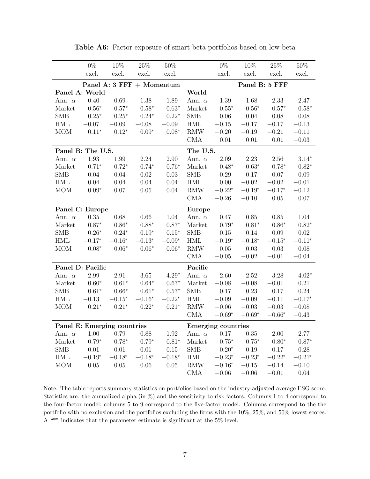|                      | $0\%$                       | $10\%$                    | $25\%$         | $50\%$        |                             | $0\%$                     | $10\%$         | $25\%$         | $50\%$         |
|----------------------|-----------------------------|---------------------------|----------------|---------------|-----------------------------|---------------------------|----------------|----------------|----------------|
|                      | excl.                       | excl.                     | excl.          | excl.         |                             | excl.                     | excl.          | excl.          | excl.          |
|                      |                             | Panel A: 3 FFF + Momentum |                |               |                             |                           |                | Panel B: 5 FFF |                |
|                      | Panel A: World              |                           |                |               | World                       |                           |                |                |                |
| Ann. $\alpha$        | 0.40                        | $0.69\,$                  | $1.38\,$       | 1.89          | Ann. $\alpha$               | $1.39\,$                  | 1.68           | 2.33           | 2.47           |
| Market               | $0.56^{\ast}$               | $0.57^{\ast}$             | $0.58^{\ast}$  | $0.63*$       | Market                      | $0.55^{\ast}$             | $0.56*$        | $0.57*$        | $0.58*$        |
| <b>SMB</b>           | $0.25*$                     | $0.25*$                   | $0.24*$        | $0.22*$       | <b>SMB</b>                  | $0.06\,$                  | 0.04           | $0.08\,$       | 0.08           |
| $\operatorname{HML}$ | $-0.07$                     | $-0.09$                   | $-0.08$        | $-0.09$       | $\operatorname{HML}$        | $-0.15$                   | $-0.17$        | $-0.17$        | $-0.13$        |
| <b>MOM</b>           | $0.11*$                     | $0.12*$                   | $0.09*$        | $0.08*$       | RMW                         | $-0.20$                   | $-0.19$        | $-0.21$        | $-0.11$        |
|                      |                             |                           |                |               | CMA                         | $0.01\,$                  | 0.01           | 0.01           | $-0.03$        |
|                      | Panel B: The U.S.           |                           |                |               | The U.S.                    |                           |                |                |                |
| Ann. $\alpha$        | 1.93                        | 1.99                      | $2.24\,$       | 2.90          | Ann. $\alpha$               | $2.09\,$                  | 2.23           | 2.56           | $3.14*$        |
| Market               | $0.71*$                     | $0.72^{\ast}$             | $0.74^{\ast}$  | $0.76*$       | Market                      | $0.48^{\ast}$             | $0.63^{\ast}$  | $0.78*$        | $0.82*$        |
| <b>SMB</b>           | 0.04                        | $0.04\,$                  | $0.02\,$       | $-0.03$       | ${\rm SMB}$                 | $-0.29$                   | $-0.17$        | $-0.07$        | $-0.09$        |
| $\operatorname{HML}$ | 0.04                        | $0.04\,$                  | $0.04\,$       | $0.04\,$      | $\operatorname{HML}$        | 0.00                      | $-0.02$        | $-0.02$        | $-0.01$        |
| MOM                  | $0.09*$                     | $0.07\,$                  | $0.05\,$       | 0.04          | $\mathop{\rm RMW}\nolimits$ | $-0.22^\ast$              | $-0.19*$       | $-0.17*$       | $-0.12$        |
|                      |                             |                           |                |               | $\rm CMA$                   | $-0.26$                   | $-0.10$        | $0.05\,$       | 0.07           |
|                      | Panel C: Europe             |                           |                |               | <b>Europe</b>               |                           |                |                |                |
| Ann. $\alpha$        | $0.35\,$                    | 0.68                      | $0.66\,$       | $1.04\,$      | Ann. $\alpha$               | $0.47\,$                  | $0.85\,$       | $0.85\,$       | $1.04\,$       |
| Market               | $0.87^{\ast}$               | $0.86*$                   | $0.88^{\ast}$  | $0.87*$       | Market                      | $0.79^{\ast}$             | $0.81^{\ast}$  | $0.86*$        | $0.82^{\ast}$  |
| <b>SMB</b>           | $0.26^{\ast}$               | $0.24^{\ast}$             | $0.19^{\ast}$  | $0.15*$       | SMB                         | $0.15\,$                  | $0.14\,$       | 0.09           | 0.02           |
| HML                  | $-0.17^{\ast}$              | $-0.16*$                  | $-0.13*$       | $-0.09*$      | $\operatorname{HML}$        | $-0.19*$                  | $-0.18*$       | $-0.15*$       | $-0.11*$       |
| MOM                  | $0.08*$                     | $0.06*$                   | $0.06*$        | $0.06*$       | RMW                         | 0.05                      | 0.03           | 0.03           | 0.08           |
|                      |                             |                           |                |               | CMA                         | $-0.05$                   | $-0.02$        | $-0.01$        | $-0.04$        |
|                      | Panel D: Pacific            |                           |                |               | Pacific                     |                           |                |                |                |
| Ann. $\alpha$        | 2.99                        | $2.91\,$                  | $3.65\,$       | $4.29*$       | Ann. $\alpha$               | $2.60\,$                  | $2.52\,$       | $3.28\,$       | $4.02*$        |
| Market               | $0.60*$                     | $0.61*$                   | $0.64*$        | $0.67*$       | Market                      | $-0.08$                   | $-0.08$        | $-0.01$        | $0.21\,$       |
| <b>SMB</b>           | $0.61*$                     | $0.66*$                   | $0.61*$        | $0.57^{\ast}$ | <b>SMB</b>                  | $0.17\,$                  | 0.23           | $0.17\,$       | $0.24\,$       |
| $\operatorname{HML}$ | $-0.13$                     | $-0.15^{\ast}$            | $-0.16^{\ast}$ | $-0.22*$      | $\operatorname{HML}$        | $-0.09$                   | $-0.09$        | $-0.11$        | $-0.17*$       |
| <b>MOM</b>           | $0.21*$                     | $0.21*$                   | $0.22*$        | $0.21*$       | RMW                         | $-0.06$                   | $-0.03$        | $-0.03$        | $-0.08$        |
|                      |                             |                           |                |               | CMA                         | $-0.69^{\ast}$            | $-0.69^{\ast}$ | $-0.66*$       | $-0.43$        |
|                      | Panel E: Emerging countries |                           |                |               |                             | <b>Emerging countries</b> |                |                |                |
| Ann. $\alpha$        | $-1.00$                     | $-0.79$                   | 0.88           | 1.92          | Ann. $\alpha$               | 0.17                      | $0.35\,$       | $2.00\,$       | 2.77           |
| Market               | $0.79*$                     | $0.78*$                   | $0.79*$        | $0.81*$       | Market                      | $0.75*$                   | $0.75^{\ast}$  | $0.80*$        | $0.87*$        |
| <b>SMB</b>           | $-0.01$                     | $-0.01$                   | $-0.01\,$      | $-0.15$       | SMB                         | $-0.20^{\ast}$            | $-0.19$        | $-0.17$        | $-0.28$        |
| $\operatorname{HML}$ | $-0.19^{\ast}$              | $-0.18^{\ast}$            | $-0.18^{\ast}$ | $-0.18*$      | $\operatorname{HML}$        | $-0.23^{\ast}$            | $-0.23^{\ast}$ | $-0.22^\ast$   | $-0.21^{\ast}$ |
| <b>MOM</b>           | $0.05\,$                    | $0.05\,$                  | $0.06\,$       | 0.05          | RMW                         | $-0.16^{\ast}$            | $-0.15$        | $-0.14$        | $-0.10$        |
|                      |                             |                           |                |               | CMA                         | $-0.06\,$                 | $-0.06$        | $-0.01$        | 0.04           |

Table A6: Factor exposure of smart beta portfolios based on low beta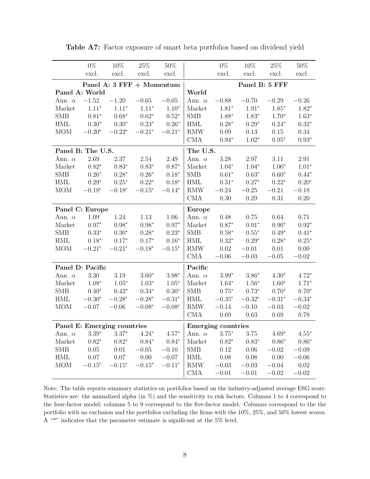|                      | $0\%$             | $10\%$                      | $25\%$         | $50\%$        |                      | $0\%$                     | $10\%$         | $25\%$         | $50\%$         |  |  |
|----------------------|-------------------|-----------------------------|----------------|---------------|----------------------|---------------------------|----------------|----------------|----------------|--|--|
|                      | excl.             | excl.                       | excl.          | excl.         |                      | excl.                     | excl.          | excl.          | excl.          |  |  |
|                      |                   | Panel A: 3 FFF + Momentum   |                |               |                      | Panel B: 5 FFF            |                |                |                |  |  |
|                      | Panel A: World    |                             |                |               | World                |                           |                |                |                |  |  |
| Ann. $\alpha$        | $-1.52$           | $-1.20$                     | $-0.65$        | $-0.05$       | Ann. $\alpha$        | $-0.88$                   | $-0.70$        | $-0.29$        | $-0.26$        |  |  |
| Market               | $1.11^{\ast}$     | $1.11^{\ast}$               | $1.11*$        | $1.10*$       | Market               | $1.81^{\ast}$             | $1.91^{\ast}$  | $1.85^{\ast}$  | $1.82^{\ast}$  |  |  |
| <b>SMB</b>           | $0.81^{\ast}$     | $0.68^{\ast}$               | $0.62^{\ast}$  | $0.52^{\ast}$ | <b>SMB</b>           | $1.88*$                   | $1.83*$        | $1.70*$        | $1.63*$        |  |  |
| $\operatorname{HML}$ | $0.30^{\ast}$     | $0.30^{\ast}$               | $0.23*$        | $0.26*$       | $\operatorname{HML}$ | $0.28*$                   | $0.29*$        | $0.24*$        | $0.32^{\ast}$  |  |  |
| <b>MOM</b>           | $-0.20*$          | $-0.22*$                    | $-0.21*$       | $-0.21*$      | RMW                  | $0.09\,$                  | $0.13\,$       | $0.15\,$       | 0.34           |  |  |
|                      |                   |                             |                |               | CMA                  | $0.94*$                   | $1.02*$        | $0.95*$        | $0.93^{\ast}$  |  |  |
|                      | Panel B: The U.S. |                             |                |               | The U.S.             |                           |                |                |                |  |  |
| Ann. $\alpha$        | 2.69              | $2.37\,$                    | $2.54\,$       | 2.49          | Ann. $\alpha$        | 3.28                      | 2.97           | 3.11           | $2.91\,$       |  |  |
| Market               | $0.82^{\ast}$     | $0.83*$                     | $0.83^{\ast}$  | $0.87*$       | Market               | $1.04^{\ast}$             | $1.04*$        | $1.06*$        | $1.01*$        |  |  |
| <b>SMB</b>           | $0.26*$           | $0.28^{\ast}$               | $0.26^{\ast}$  | $0.18*$       | SMB                  | $0.61^{\ast}$             | $0.63*$        | $0.60^\ast$    | $0.44*$        |  |  |
| $\operatorname{HML}$ | $0.29^{\ast}$     | $0.25^{\ast}$               | $0.22*$        | $0.18*$       | $\operatorname{HML}$ | $0.31^{\ast}$             | $0.27*$        | $0.22^\ast$    | $0.20*$        |  |  |
| <b>MOM</b>           | $-0.18^{\ast}$    | $-0.18*$                    | $-0.15^{\ast}$ | $-0.14*$      | RMW                  | $-0.24$                   | $-0.25$        | $-0.21$        | $-0.18$        |  |  |
|                      |                   |                             |                |               | CMA                  | 0.30                      | 0.29           | $0.31\,$       | $0.20\,$       |  |  |
|                      | Panel C: Europe   |                             |                |               | Europe               |                           |                |                |                |  |  |
| Ann. $\alpha$        | $1.09\,$          | 1.24                        | $1.13\,$       | $1.06\,$      | Ann. $\alpha$        | $0.48\,$                  | 0.75           | $\,0.64\,$     | 0.71           |  |  |
| Market               | $0.97*$           | $0.98*$                     | $0.98^{\ast}$  | $0.97*$       | Market               | $0.87^{\ast}$             | $0.91^{\ast}$  | $0.90*$        | $0.92*$        |  |  |
| <b>SMB</b>           | $0.33*$           | $0.30*$                     | $0.28*$        | $0.23*$       | SMB                  | $0.58^{\ast}$             | $0.55*$        | $0.49*$        | $0.41^{\ast}$  |  |  |
| HML                  | $0.18^{\ast}$     | $0.17^{\ast}$               | $0.17*$        | $0.16*$       | $\operatorname{HML}$ | $0.32^\ast$               | $0.29*$        | $0.28*$        | $0.25^{\ast}$  |  |  |
| <b>MOM</b>           | $-0.21*$          | $-0.21*$                    | $-0.18^{\ast}$ | $-0.15*$      | RMW                  | $0.02\,$                  | $-0.01$        | 0.01           | 0.00           |  |  |
|                      |                   |                             |                |               | CMA                  | $-0.06$                   | $-0.03$        | $-0.05$        | $-0.02$        |  |  |
|                      | Panel D: Pacific  |                             |                |               | Pacific              |                           |                |                |                |  |  |
| Ann. $\alpha$        | 3.30              | 3.19                        | $3.60*$        | $3.98*$       | Ann. $\alpha$        | $3.99^{\ast}$             | $3.86*$        | $4.30*$        | $4.72*$        |  |  |
| Market               | $1.08*$           | $1.05^{\ast}$               | $1.03^{\ast}$  | $1.05*$       | Market               | $1.64*$                   | $1.56*$        | $1.60*$        | $1.71*$        |  |  |
| <b>SMB</b>           | $0.40^{\ast}$     | $0.42*$                     | $0.34*$        | $0.30*$       | <b>SMB</b>           | $0.75^{\ast}$             | $0.73*$        | $0.70*$        | $0.70*$        |  |  |
| <b>HML</b>           | $-0.30*$          | $-0.28^\ast$                | $-0.28^\ast$   | $-0.31*$      | HML                  | $-0.35^{\ast}$            | $-0.32^{\ast}$ | $-0.31^{\ast}$ | $-0.34^{\ast}$ |  |  |
| <b>MOM</b>           | $-0.07$           | $-0.06$                     | $-0.08*$       | $-0.08*$      | RMW                  | $-0.14$                   | $-0.10$        | $-0.03$        | $-0.02$        |  |  |
|                      |                   |                             |                |               | CMA                  | 0.69                      | 0.63           | $0.69\,$       | 0.78           |  |  |
|                      |                   | Panel E: Emerging countries |                |               |                      | <b>Emerging countries</b> |                |                |                |  |  |
| Ann. $\alpha$        | $3.39^{\ast}$     | $3.37*$                     | $4.24*$        | $4.57*$       | Ann. $\alpha$        | $3.75^{\ast}$             | $3.75\,$       | $4.69*$        | $4.55*$        |  |  |
| Market               | $0.82*$           | $0.82*$                     | $0.84*$        | $0.84*$       | Market               | $0.82*$                   | $0.83^{\ast}$  | $0.86*$        | $0.86*$        |  |  |
| <b>SMB</b>           | $0.05\,$          | $0.01\,$                    | $-0.05$        | $-0.10\,$     | <b>SMB</b>           | $0.12\,$                  | $0.06\,$       | $-0.02$        | $-0.09$        |  |  |
| HML                  | $0.07\,$          | $0.07\,$                    | $0.00\,$       | $-0.07\,$     | $\operatorname{HML}$ | $0.08\,$                  | $0.08\,$       | $0.00\,$       | $-0.06\,$      |  |  |
| <b>MOM</b>           | $-0.15^{\ast}$    | $-0.15*$                    | $-0.15*$       | $-0.11*$      | RMW                  | $-0.03$                   | $-0.03$        | $-0.04$        | $0.02\,$       |  |  |
|                      |                   |                             |                |               | CMA                  | $-0.01\,$                 | $-0.01\,$      | $-0.02$        | $-0.02$        |  |  |

Table A7: Factor exposure of smart beta portfolios based on dividend yield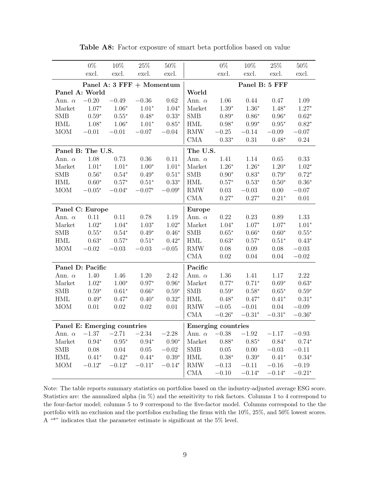|                      | $0\%$             | $10\%$                      | $25\%$        | $50\%$        |                             | $0\%$                     | $10\%$         | $25\%$         | $50\%$        |
|----------------------|-------------------|-----------------------------|---------------|---------------|-----------------------------|---------------------------|----------------|----------------|---------------|
|                      | excl.             | excl.                       | excl.         | excl.         |                             | excl.                     | excl.          | excl.          | excl.         |
|                      |                   | Panel A: 3 FFF + Momentum   |               |               |                             |                           |                | Panel B: 5 FFF |               |
|                      | Panel A: World    |                             |               |               | World                       |                           |                |                |               |
| Ann. $\alpha$        | $-0.20$           | $-0.49$                     | $-0.36$       | 0.62          | Ann. $\alpha$               | $1.06\,$                  | $0.44\,$       | 0.47           | 1.09          |
| Market               | $1.07*$           | $1.06*$                     | $1.01*$       | $1.04*$       | Market                      | $1.39^{\ast}$             | $1.36*$        | $1.48*$        | $1.27*$       |
| <b>SMB</b>           | $0.59^{\ast}$     | $0.55*$                     | $0.48*$       | $0.33*$       | <b>SMB</b>                  | $0.89*$                   | $0.86*$        | $0.96*$        | $0.62*$       |
| $\operatorname{HML}$ | $1.08*$           | $1.06*$                     | $1.01*$       | $0.85*$       | $\operatorname{HML}$        | $0.98*$                   | $0.99*$        | $0.95*$        | $0.82*$       |
| <b>MOM</b>           | $-0.01$           | $-0.01$                     | $-0.07$       | $-0.04$       | RMW                         | $-0.25$                   | $-0.14$        | $-0.09$        | $-0.07$       |
|                      |                   |                             |               |               | CMA                         | $0.33*$                   | 0.31           | $0.48*$        | 0.24          |
|                      | Panel B: The U.S. |                             |               |               | The U.S.                    |                           |                |                |               |
| Ann. $\alpha$        | 1.08              | 0.73                        | $0.36\,$      | 0.11          | Ann. $\alpha$               | 1.41                      | 1.14           | $0.65\,$       | 0.33          |
| Market               | $1.01^{\ast}$     | $1.01*$                     | $1.00*$       | $1.01*$       | Market                      | $1.26^{\ast}$             | $1.26^{\ast}$  | $1.20*$        | $1.02^{\ast}$ |
| <b>SMB</b>           | $0.56^{\ast}$     | $0.54*$                     | $0.49*$       | $0.51*$       | SMB                         | $0.90^\ast$               | $0.83^{\ast}$  | $0.79*$        | $0.72*$       |
| $\operatorname{HML}$ | $0.60*$           | $0.57^{\ast}$               | $0.51*$       | $0.33^{\ast}$ | $\operatorname{HML}$        | $0.57^{\ast}$             | $0.53^{\ast}$  | $0.50^\ast$    | $0.36*$       |
| <b>MOM</b>           | $-0.05^{\ast}$    | $-0.04*$                    | $-0.07*$      | $-0.09*$      | $\mathop{\rm RMW}\nolimits$ | $0.03\,$                  | $-0.03$        | $0.00\,$       | $-0.07$       |
|                      |                   |                             |               |               | CMA                         | $0.27*$                   | $0.27*$        | $0.21*$        | $0.01\,$      |
|                      | Panel C: Europe   |                             |               |               | Europe                      |                           |                |                |               |
| Ann. $\alpha$        | 0.11              | $0.11\,$                    | $0.78\,$      | 1.19          | Ann. $\alpha$               | $0.22\,$                  | 0.23           | 0.89           | $1.33\,$      |
| Market               | $1.02^{\ast}$     | $1.04^{\ast}$               | $1.03^{\ast}$ | $1.02*$       | Market                      | $1.04^{\ast}$             | $1.07*$        | $1.07*$        | $1.01*$       |
| <b>SMB</b>           | $0.55*$           | $0.54*$                     | $0.49*$       | $0.46*$       | <b>SMB</b>                  | $0.65*$                   | $0.66*$        | $0.60*$        | $0.55*$       |
| HML                  | $0.63^{\ast}$     | $0.57^{\ast}$               | $0.51*$       | $0.42*$       | $\operatorname{HML}$        | $0.63^{\ast}$             | $0.57*$        | $0.51*$        | $0.43^{\ast}$ |
| <b>MOM</b>           | $-0.02$           | $-0.03$                     | $-0.03$       | $-0.05$       | RMW                         | $0.08\,$                  | $0.09\,$       | $0.08\,$       | $-0.03$       |
|                      |                   |                             |               |               | CMA                         | 0.02                      | 0.04           | 0.04           | $-0.02$       |
|                      | Panel D: Pacific  |                             |               |               | Pacific                     |                           |                |                |               |
| Ann. $\alpha$        | 1.40              | 1.46                        | 1.20          | 2.42          | Ann. $\alpha$               | 1.36                      | 1.41           | $1.17\,$       | 2.22          |
| Market               | $1.02*$           | $1.00*$                     | $0.97*$       | $0.96*$       | Market                      | $0.77*$                   | $0.71*$        | $0.69*$        | $0.63*$       |
| <b>SMB</b>           | $0.59^{\ast}$     | $0.61*$                     | $0.66*$       | $0.59*$       | <b>SMB</b>                  | $0.59^{\ast}$             | $0.58*$        | $0.65*$        | $0.59^{\ast}$ |
| $\operatorname{HML}$ | $0.49*$           | $0.47*$                     | $0.40*$       | $0.32*$       | HML                         | $0.48*$                   | $0.47*$        | $0.41*$        | $0.31*$       |
| <b>MOM</b>           | $0.01\,$          | $0.02\,$                    | $0.02\,$      | $0.01\,$      | RMW                         | $-0.05$                   | $-0.01$        | 0.04           | $-0.09$       |
|                      |                   |                             |               |               | CMA                         | $-0.26^{\ast}$            | $-0.31^{\ast}$ | $-0.31^{\ast}$ | $-0.36*$      |
|                      |                   | Panel E: Emerging countries |               |               |                             | <b>Emerging countries</b> |                |                |               |
| Ann. $\alpha$        | $-1.37\,$         | $-2.71$                     | $-2.34$       | $-2.28$       | Ann. $\alpha$               | $-0.38$                   | $-1.92\,$      | $-1.17$        | $-0.93$       |
| Market               | $0.94^{\ast}$     | $0.95^{\ast}$               | $0.94^{\ast}$ | $0.90^\ast$   | Market                      | $0.88*$                   | $0.85*$        | $0.84*$        | $0.74*$       |
| <b>SMB</b>           | $0.08\,$          | $0.04\,$                    | $0.05\,$      | $-0.02$       | <b>SMB</b>                  | $0.05\,$                  | $0.00\,$       | $-0.03$        | $-0.11\,$     |
| $\operatorname{HML}$ | $0.41*$           | $0.42*$                     | $0.44*$       | $0.39^{\ast}$ | $\operatorname{HML}$        | $0.38^{\ast}$             | $0.39^{\ast}$  | $0.41^{\ast}$  | $0.34^{\ast}$ |
| <b>MOM</b>           | $-0.12*$          | $-0.12*$                    | $-0.11*$      | $-0.14*$      | RMW                         | $-0.13\,$                 | $-0.11$        | $-0.16$        | $-0.19$       |
|                      |                   |                             |               |               | CMA                         | $-0.10$                   | $-0.14^{\ast}$ | $-0.14*$       | $-0.21*$      |

Table A8: Factor exposure of smart beta portfolios based on value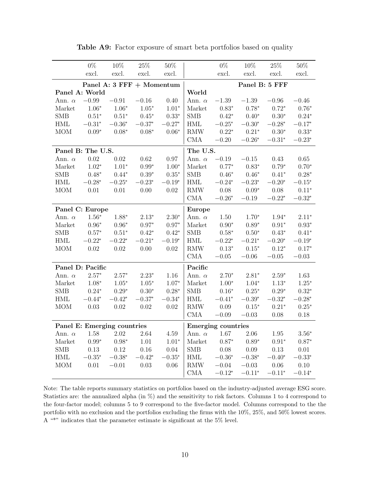|                      | $0\%$                       | 10%                       | 25%            | $50\%$         |                      | $0\%$                     | 10%            | 25\%           | $50\%$         |
|----------------------|-----------------------------|---------------------------|----------------|----------------|----------------------|---------------------------|----------------|----------------|----------------|
|                      | excl.                       | excl.                     | excl.          | excl.          |                      | excl.                     | excl.          | excl.          | excl.          |
|                      |                             | Panel A: 3 FFF + Momentum |                |                |                      |                           |                | Panel B: 5 FFF |                |
|                      | Panel A: World              |                           |                |                | World                |                           |                |                |                |
| Ann. $\alpha$        | $-0.99$                     | $-0.91$                   | $-0.16$        | 0.40           | Ann. $\alpha$        | $-1.39$                   | $-1.39$        | $-0.96$        | $-0.46$        |
| Market               | $1.06*$                     | $1.06*$                   | $1.05*$        | $1.01*$        | Market               | $0.83*$                   | $0.78*$        | $0.72*$        | $0.76*$        |
| <b>SMB</b>           | $0.51*$                     | $0.51*$                   | $0.45*$        | $0.33*$        | <b>SMB</b>           | $0.42*$                   | $0.40*$        | $0.30*$        | $0.24*$        |
| $\operatorname{HML}$ | $-0.31^{\ast}$              | $-0.36^{\ast}$            | $-0.37^{\ast}$ | $-0.27*$       | $\operatorname{HML}$ | $-0.25*$                  | $-0.30*$       | $-0.28*$       | $-0.17*$       |
| <b>MOM</b>           | $0.09*$                     | $0.08*$                   | $0.08*$        | $0.06*$        | RMW                  | $0.22*$                   | $0.21*$        | $0.30^{\ast}$  | $0.33*$        |
|                      |                             |                           |                |                | CMA                  | $-0.20$                   | $-0.26*$       | $-0.31*$       | $-0.23*$       |
|                      | Panel B: The U.S.           |                           |                |                | The U.S.             |                           |                |                |                |
| Ann. $\alpha$        | $0.02\,$                    | 0.02                      | 0.62           | 0.97           | Ann. $\alpha$        | $-0.19$                   | $-0.15$        | 0.43           | $0.65\,$       |
| Market               | $1.02*$                     | $1.01*$                   | $0.99*$        | $1.00*$        | Market               | $0.77*$                   | $0.83*$        | $0.79*$        | $0.70*$        |
| <b>SMB</b>           | $0.48*$                     | $0.44*$                   | $0.39*$        | $0.35*$        | <b>SMB</b>           | $0.46*$                   | $0.46*$        | $0.41*$        | $0.28*$        |
| $\operatorname{HML}$ | $-0.28*$                    | $-0.25*$                  | $-0.23*$       | $-0.19*$       | <b>HML</b>           | $-0.24*$                  | $-0.23*$       | $-0.20*$       | $-0.15*$       |
| MOM                  | $0.01\,$                    | 0.01                      | 0.00           | $0.02\,$       | RMW                  | 0.08                      | $0.09*$        | $0.08\,$       | $0.11*$        |
|                      |                             |                           |                |                | <b>CMA</b>           | $-0.26^{\ast}$            | $-0.19$        | $-0.22*$       | $-0.32^{\ast}$ |
|                      | Panel C: Europe             |                           |                |                | <b>Europe</b>        |                           |                |                |                |
| Ann. $\alpha$        | $1.56*$                     | $1.88*$                   | $2.13*$        | $2.30*$        | Ann. $\alpha$        | 1.50                      | $1.70*$        | $1.94*$        | $2.11*$        |
| Market               | $0.96*$                     | $0.96*$                   | $0.97*$        | $0.97*$        | Market               | $0.90^\ast$               | $0.89*$        | $0.91*$        | $0.93*$        |
| <b>SMB</b>           | $0.57^{\ast}$               | $0.51*$                   | $0.42*$        | $0.42*$        | <b>SMB</b>           | $0.58*$                   | $0.50*$        | $0.43*$        | $0.41*$        |
| <b>HML</b>           | $-0.22^\ast$                | $-0.22*$                  | $-0.21*$       | $-0.19*$       | <b>HML</b>           | $-0.22*$                  | $-0.21*$       | $-0.20*$       | $-0.19*$       |
| <b>MOM</b>           | $0.02\,$                    | $0.02\,$                  | 0.00           | $0.02\,$       | <b>RMW</b>           | $0.13*$                   | $0.15^{\ast}$  | $0.12*$        | $0.17*$        |
|                      |                             |                           |                |                | <b>CMA</b>           | $-0.05$                   | $-0.06$        | $-0.05$        | $-0.03$        |
|                      | Panel D: Pacific            |                           |                |                | Pacific              |                           |                |                |                |
| Ann. $\alpha$        | $2.57^{\ast}$               | $2.57^\ast$               | $2.23*$        | 1.16           | Ann. $\alpha$        | $2.70*$                   | $2.81*$        | $2.59*$        | 1.63           |
| Market               | $1.08*$                     | $1.05*$                   | $1.05*$        | $1.07*$        | Market               | $1.00*$                   | $1.04*$        | $1.13*$        | $1.25^{\ast}$  |
| <b>SMB</b>           | $0.24*$                     | $0.29^{\ast}$             | $0.30*$        | $0.28*$        | <b>SMB</b>           | $0.16^{\ast}$             | $0.25*$        | $0.29*$        | $0.32^{\ast}$  |
| HML                  | $-0.44*$                    | $-0.42*$                  | $-0.37*$       | $-0.34^{\ast}$ | <b>HML</b>           | $-0.41*$                  | $-0.39^{\ast}$ | $-0.32*$       | $-0.28*$       |
| <b>MOM</b>           | $0.03\,$                    | 0.02                      | 0.02           | 0.02           | <b>RMW</b>           | 0.09                      | $0.15*$        | $0.21*$        | $0.25*$        |
|                      |                             |                           |                |                | CMA                  | $-0.09$                   | $-0.03$        | 0.08           | $0.18\,$       |
|                      | Panel E: Emerging countries |                           |                |                |                      | <b>Emerging countries</b> |                |                |                |
| Ann. $\alpha$        | 1.58                        | 2.02                      | 2.64           | 4.59           | Ann. $\alpha$        | 1.67                      | 2.06           | 1.95           | $3.56*$        |
| Market               | $0.99*$                     | $0.98*$                   | 1.01           | $1.01*$        | Market               | $0.87*$                   | $0.89*$        | $0.91*$        | $0.87*$        |
| <b>SMB</b>           | 0.13                        | 0.12                      | $0.16\,$       | 0.04           | <b>SMB</b>           | 0.08                      | 0.09           | 0.13           | 0.01           |
| <b>HML</b>           | $-0.35^{\ast}$              | $-0.38*$                  | $-0.42*$       | $-0.35^{\ast}$ | <b>HML</b>           | $-0.36*$                  | $-0.38*$       | $-0.40*$       | $-0.33*$       |
| <b>MOM</b>           | $0.01\,$                    | $-0.01$                   | 0.03           | 0.06           | <b>RMW</b>           | $-0.04$                   | $-0.03$        | $0.06\,$       | 0.10           |
|                      |                             |                           |                |                | CMA                  | $-0.12*$                  | $-0.11*$       | $-0.11*$       | $-0.14*$       |

Table A9: Factor exposure of smart beta portfolios based on quality